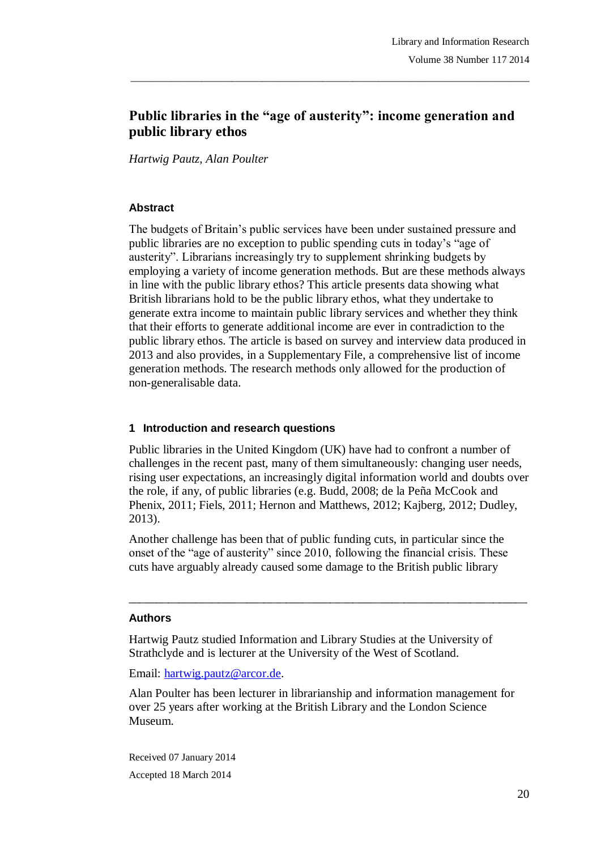# **Public libraries in the "age of austerity": income generation and public library ethos**

\_\_\_\_\_\_\_\_\_\_\_\_\_\_\_\_\_\_\_\_\_\_\_\_\_\_\_\_\_\_\_\_\_\_\_\_\_\_\_\_\_\_\_\_\_\_\_\_\_\_\_\_\_\_\_\_\_\_\_\_\_\_\_\_\_\_\_\_\_\_\_\_\_\_\_\_\_\_\_

*Hartwig Pautz, Alan Poulter*

### **Abstract**

The budgets of Britain"s public services have been under sustained pressure and public libraries are no exception to public spending cuts in today"s "age of austerity". Librarians increasingly try to supplement shrinking budgets by employing a variety of income generation methods. But are these methods always in line with the public library ethos? This article presents data showing what British librarians hold to be the public library ethos, what they undertake to generate extra income to maintain public library services and whether they think that their efforts to generate additional income are ever in contradiction to the public library ethos. The article is based on survey and interview data produced in 2013 and also provides, in a Supplementary File, a comprehensive list of income generation methods. The research methods only allowed for the production of non-generalisable data.

### **1 Introduction and research questions**

Public libraries in the United Kingdom (UK) have had to confront a number of challenges in the recent past, many of them simultaneously: changing user needs, rising user expectations, an increasingly digital information world and doubts over the role, if any, of public libraries (e.g. Budd, 2008; de la Peña McCook and Phenix, 2011; Fiels, 2011; Hernon and Matthews, 2012; Kajberg, 2012; Dudley, 2013).

Another challenge has been that of public funding cuts, in particular since the onset of the "age of austerity" since 2010, following the financial crisis. These cuts have arguably already caused some damage to the British public library

 $\_$  ,  $\_$  ,  $\_$  ,  $\_$  ,  $\_$  ,  $\_$  ,  $\_$  ,  $\_$  ,  $\_$  ,  $\_$  ,  $\_$  ,  $\_$  ,  $\_$  ,  $\_$  ,  $\_$  ,  $\_$  ,  $\_$  ,  $\_$  ,  $\_$  ,  $\_$ 

#### **Authors**

Hartwig Pautz studied Information and Library Studies at the University of Strathclyde and is lecturer at the University of the West of Scotland.

Email: hartwig.pautz@arcor.de.

Alan Poulter has been lecturer in librarianship and information management for over 25 years after working at the British Library and the London Science Museum.

Received 07 January 2014 Accepted 18 March 2014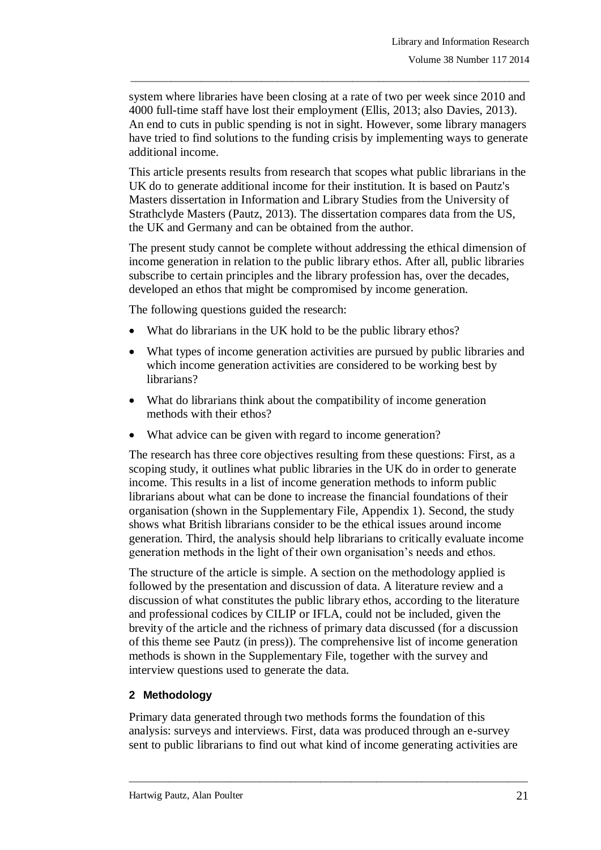system where libraries have been closing at a rate of two per week since 2010 and 4000 full-time staff have lost their employment (Ellis, 2013; also Davies, 2013). An end to cuts in public spending is not in sight. However, some library managers have tried to find solutions to the funding crisis by implementing ways to generate additional income.

\_\_\_\_\_\_\_\_\_\_\_\_\_\_\_\_\_\_\_\_\_\_\_\_\_\_\_\_\_\_\_\_\_\_\_\_\_\_\_\_\_\_\_\_\_\_\_\_\_\_\_\_\_\_\_\_\_\_\_\_\_\_\_\_\_\_\_\_\_\_\_\_\_\_\_\_\_\_\_

This article presents results from research that scopes what public librarians in the UK do to generate additional income for their institution. It is based on Pautz's Masters dissertation in Information and Library Studies from the University of Strathclyde Masters (Pautz, 2013). The dissertation compares data from the US, the UK and Germany and can be obtained from the author.

The present study cannot be complete without addressing the ethical dimension of income generation in relation to the public library ethos. After all, public libraries subscribe to certain principles and the library profession has, over the decades, developed an ethos that might be compromised by income generation.

The following questions guided the research:

- What do librarians in the UK hold to be the public library ethos?
- What types of income generation activities are pursued by public libraries and which income generation activities are considered to be working best by librarians?
- What do librarians think about the compatibility of income generation methods with their ethos?
- What advice can be given with regard to income generation?

The research has three core objectives resulting from these questions: First, as a scoping study, it outlines what public libraries in the UK do in order to generate income. This results in a list of income generation methods to inform public librarians about what can be done to increase the financial foundations of their organisation (shown in the Supplementary File, Appendix 1). Second, the study shows what British librarians consider to be the ethical issues around income generation. Third, the analysis should help librarians to critically evaluate income generation methods in the light of their own organisation"s needs and ethos.

The structure of the article is simple. A section on the methodology applied is followed by the presentation and discussion of data. A literature review and a discussion of what constitutes the public library ethos, according to the literature and professional codices by CILIP or IFLA, could not be included, given the brevity of the article and the richness of primary data discussed (for a discussion of this theme see Pautz (in press)). The comprehensive list of income generation methods is shown in the Supplementary File, together with the survey and interview questions used to generate the data.

# **2 Methodology**

Primary data generated through two methods forms the foundation of this analysis: surveys and interviews. First, data was produced through an e-survey sent to public librarians to find out what kind of income generating activities are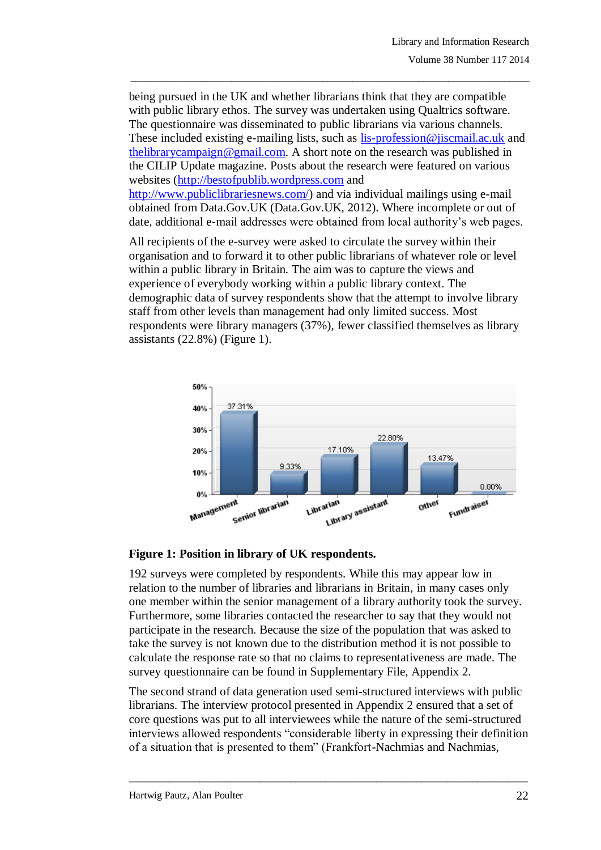being pursued in the UK and whether librarians think that they are compatible with public library ethos. The survey was undertaken using Qualtrics software. The questionnaire was disseminated to public librarians via various channels. These included existing e-mailing lists, such as [lis-profession@jiscmail.ac.uk](mailto:lis-profession@jiscmail.ac.uk) and [thelibrarycampaign@gmail.com.](mailto:thelibrarycampaign@gmail.com) A short note on the research was published in the CILIP Update magazine. Posts about the research were featured on various websites [\(http://bestofpublib.wordpress.com](http://bestofpublib.wordpress.com/) and [http://www.publiclibrariesnews.com/\)](http://www.publiclibrariesnews.com/) and via individual mailings using e-mail obtained from Data.Gov.UK (Data.Gov.UK, 2012). Where incomplete or out of date, additional e-mail addresses were obtained from local authority"s web pages.

\_\_\_\_\_\_\_\_\_\_\_\_\_\_\_\_\_\_\_\_\_\_\_\_\_\_\_\_\_\_\_\_\_\_\_\_\_\_\_\_\_\_\_\_\_\_\_\_\_\_\_\_\_\_\_\_\_\_\_\_\_\_\_\_\_\_\_\_\_\_\_\_\_\_\_\_\_\_\_

All recipients of the e-survey were asked to circulate the survey within their organisation and to forward it to other public librarians of whatever role or level within a public library in Britain. The aim was to capture the views and experience of everybody working within a public library context. The demographic data of survey respondents show that the attempt to involve library staff from other levels than management had only limited success. Most respondents were library managers (37%), fewer classified themselves as library assistants (22.8%) (Figure 1).



### **Figure 1: Position in library of UK respondents.**

192 surveys were completed by respondents. While this may appear low in relation to the number of libraries and librarians in Britain, in many cases only one member within the senior management of a library authority took the survey. Furthermore, some libraries contacted the researcher to say that they would not participate in the research. Because the size of the population that was asked to take the survey is not known due to the distribution method it is not possible to calculate the response rate so that no claims to representativeness are made. The survey questionnaire can be found in Supplementary File, Appendix 2.

The second strand of data generation used semi-structured interviews with public librarians. The interview protocol presented in Appendix 2 ensured that a set of core questions was put to all interviewees while the nature of the semi-structured interviews allowed respondents "considerable liberty in expressing their definition of a situation that is presented to them" (Frankfort-Nachmias and Nachmias,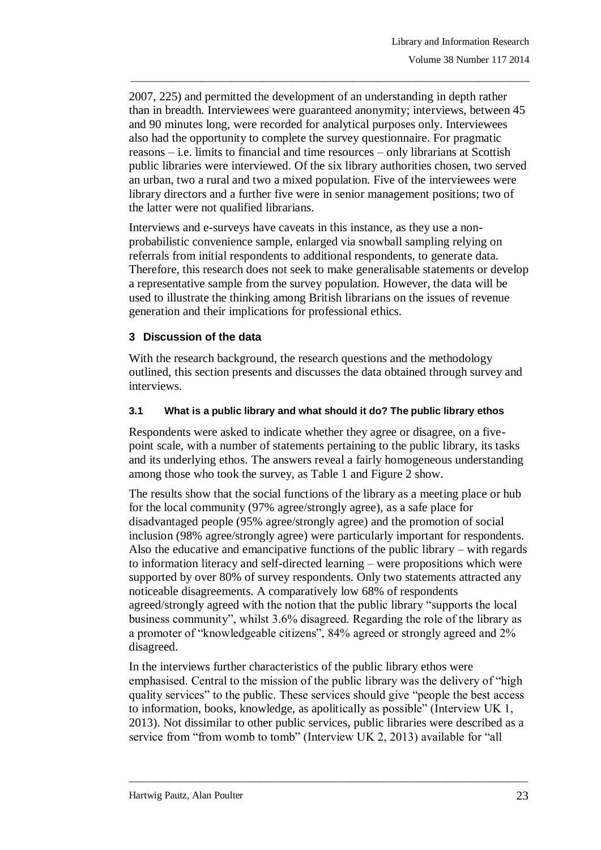2007, 225) and permitted the development of an understanding in depth rather than in breadth. Interviewees were guaranteed anonymity; interviews, between 45 and 90 minutes long, were recorded for analytical purposes only. Interviewees also had the opportunity to complete the survey questionnaire. For pragmatic reasons – i.e. limits to financial and time resources – only librarians at Scottish public libraries were interviewed. Of the six library authorities chosen, two served an urban, two a rural and two a mixed population. Five of the interviewees were library directors and a further five were in senior management positions; two of the latter were not qualified librarians.

\_\_\_\_\_\_\_\_\_\_\_\_\_\_\_\_\_\_\_\_\_\_\_\_\_\_\_\_\_\_\_\_\_\_\_\_\_\_\_\_\_\_\_\_\_\_\_\_\_\_\_\_\_\_\_\_\_\_\_\_\_\_\_\_\_\_\_\_\_\_\_\_\_\_\_\_\_\_\_

Interviews and e-surveys have caveats in this instance, as they use a nonprobabilistic convenience sample, enlarged via snowball sampling relying on referrals from initial respondents to additional respondents, to generate data. Therefore, this research does not seek to make generalisable statements or develop a representative sample from the survey population. However, the data will be used to illustrate the thinking among British librarians on the issues of revenue generation and their implications for professional ethics.

### **3 Discussion of the data**

With the research background, the research questions and the methodology outlined, this section presents and discusses the data obtained through survey and interviews.

### **3.1 What is a public library and what should it do? The public library ethos**

Respondents were asked to indicate whether they agree or disagree, on a fivepoint scale, with a number of statements pertaining to the public library, its tasks and its underlying ethos. The answers reveal a fairly homogeneous understanding among those who took the survey, as Table 1 and Figure 2 show.

The results show that the social functions of the library as a meeting place or hub for the local community (97% agree/strongly agree), as a safe place for disadvantaged people (95% agree/strongly agree) and the promotion of social inclusion (98% agree/strongly agree) were particularly important for respondents. Also the educative and emancipative functions of the public library – with regards to information literacy and self-directed learning – were propositions which were supported by over 80% of survey respondents. Only two statements attracted any noticeable disagreements. A comparatively low 68% of respondents agreed/strongly agreed with the notion that the public library "supports the local business community", whilst 3.6% disagreed. Regarding the role of the library as a promoter of "knowledgeable citizens", 84% agreed or strongly agreed and 2% disagreed.

In the interviews further characteristics of the public library ethos were emphasised. Central to the mission of the public library was the delivery of "high quality services" to the public. These services should give "people the best access to information, books, knowledge, as apolitically as possible" (Interview UK 1, 2013). Not dissimilar to other public services, public libraries were described as a service from "from womb to tomb" (Interview UK 2, 2013) available for "all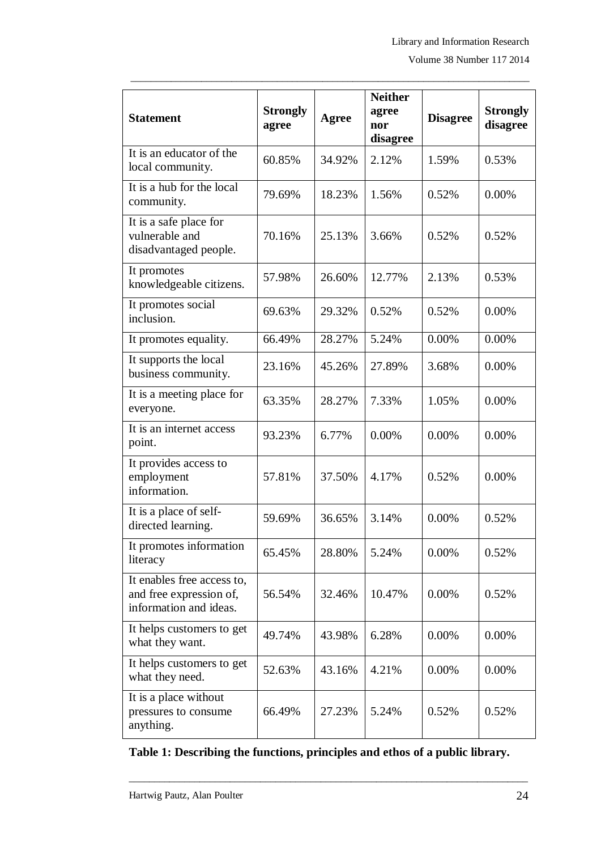| <b>Statement</b>                                                                | <b>Strongly</b><br>agree | Agree  | <b>Neither</b><br>agree<br>nor<br>disagree | <b>Disagree</b> | <b>Strongly</b><br>disagree |
|---------------------------------------------------------------------------------|--------------------------|--------|--------------------------------------------|-----------------|-----------------------------|
| It is an educator of the<br>local community.                                    | 60.85%                   | 34.92% | 2.12%                                      | 1.59%           | 0.53%                       |
| It is a hub for the local<br>community.                                         | 79.69%                   | 18.23% | 1.56%                                      | 0.52%           | 0.00%                       |
| It is a safe place for<br>vulnerable and<br>disadvantaged people.               | 70.16%                   | 25.13% | 3.66%                                      | 0.52%           | 0.52%                       |
| It promotes<br>knowledgeable citizens.                                          | 57.98%                   | 26.60% | 12.77%                                     | 2.13%           | 0.53%                       |
| It promotes social<br>inclusion.                                                | 69.63%                   | 29.32% | 0.52%                                      | 0.52%           | 0.00%                       |
| It promotes equality.                                                           | 66.49%                   | 28.27% | 5.24%                                      | 0.00%           | 0.00%                       |
| It supports the local<br>business community.                                    | 23.16%                   | 45.26% | 27.89%                                     | 3.68%           | 0.00%                       |
| It is a meeting place for<br>everyone.                                          | 63.35%                   | 28.27% | 7.33%                                      | 1.05%           | 0.00%                       |
| It is an internet access<br>point.                                              | 93.23%                   | 6.77%  | 0.00%                                      | 0.00%           | 0.00%                       |
| It provides access to<br>employment<br>information.                             | 57.81%                   | 37.50% | 4.17%                                      | 0.52%           | 0.00%                       |
| It is a place of self-<br>directed learning.                                    | 59.69%                   | 36.65% | 3.14%                                      | 0.00%           | 0.52%                       |
| It promotes information<br>literacy                                             | 65.45%                   | 28.80% | 5.24%                                      | 0.00%           | 0.52%                       |
| It enables free access to,<br>and free expression of,<br>information and ideas. | 56.54%                   | 32.46% | 10.47%                                     | 0.00%           | 0.52%                       |
| It helps customers to get<br>what they want.                                    | 49.74%                   | 43.98% | 6.28%                                      | 0.00%           | 0.00%                       |
| It helps customers to get<br>what they need.                                    | 52.63%                   | 43.16% | 4.21%                                      | 0.00%           | 0.00%                       |
| It is a place without<br>pressures to consume<br>anything.                      | 66.49%                   | 27.23% | 5.24%                                      | 0.52%           | 0.52%                       |

# **Table 1: Describing the functions, principles and ethos of a public library.**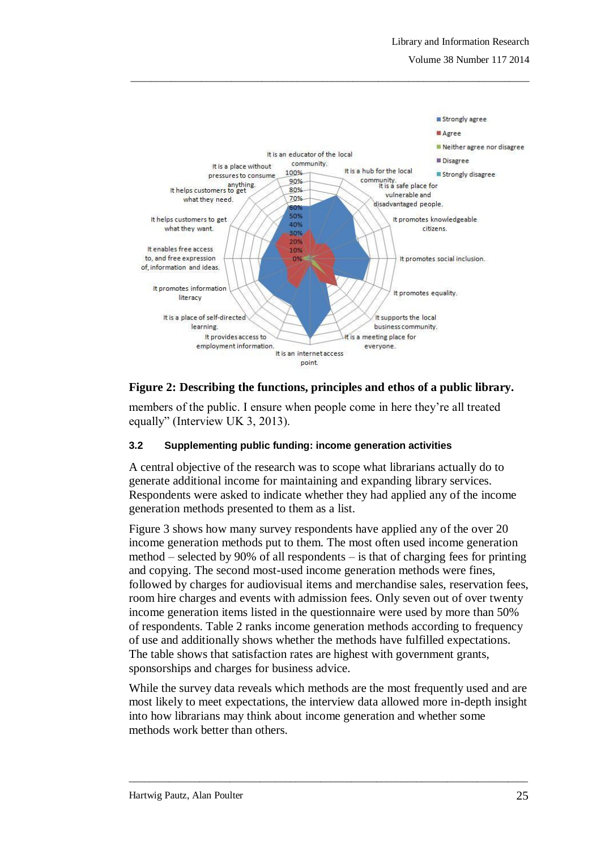

# **Figure 2: Describing the functions, principles and ethos of a public library.**

members of the public. I ensure when people come in here they"re all treated equally" (Interview UK 3, 2013).

#### **3.2 Supplementing public funding: income generation activities**

A central objective of the research was to scope what librarians actually do to generate additional income for maintaining and expanding library services. Respondents were asked to indicate whether they had applied any of the income generation methods presented to them as a list.

Figure 3 shows how many survey respondents have applied any of the over 20 income generation methods put to them. The most often used income generation method – selected by 90% of all respondents – is that of charging fees for printing and copying. The second most-used income generation methods were fines, followed by charges for audiovisual items and merchandise sales, reservation fees, room hire charges and events with admission fees. Only seven out of over twenty income generation items listed in the questionnaire were used by more than 50% of respondents. Table 2 ranks income generation methods according to frequency of use and additionally shows whether the methods have fulfilled expectations. The table shows that satisfaction rates are highest with government grants, sponsorships and charges for business advice.

While the survey data reveals which methods are the most frequently used and are most likely to meet expectations, the interview data allowed more in-depth insight into how librarians may think about income generation and whether some methods work better than others.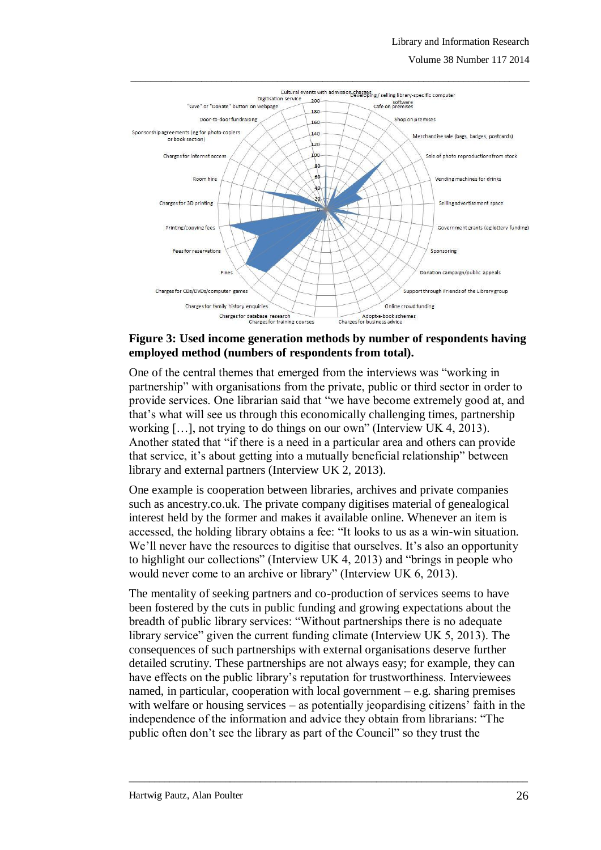Volume 38 Number 117 2014



### **Figure 3: Used income generation methods by number of respondents having employed method (numbers of respondents from total).**

One of the central themes that emerged from the interviews was "working in partnership" with organisations from the private, public or third sector in order to provide services. One librarian said that "we have become extremely good at, and that"s what will see us through this economically challenging times, partnership working […], not trying to do things on our own" (Interview UK 4, 2013). Another stated that "if there is a need in a particular area and others can provide that service, it's about getting into a mutually beneficial relationship" between library and external partners (Interview UK 2, 2013).

One example is cooperation between libraries, archives and private companies such as ancestry.co.uk. The private company digitises material of genealogical interest held by the former and makes it available online. Whenever an item is accessed, the holding library obtains a fee: "It looks to us as a win-win situation. We'll never have the resources to digitise that ourselves. It's also an opportunity to highlight our collections" (Interview UK 4, 2013) and "brings in people who would never come to an archive or library" (Interview UK 6, 2013).

The mentality of seeking partners and co-production of services seems to have been fostered by the cuts in public funding and growing expectations about the breadth of public library services: "Without partnerships there is no adequate library service" given the current funding climate (Interview UK 5, 2013). The consequences of such partnerships with external organisations deserve further detailed scrutiny. These partnerships are not always easy; for example, they can have effects on the public library's reputation for trustworthiness. Interviewees named, in particular, cooperation with local government  $-e.g.$  sharing premises with welfare or housing services  $-$  as potentially jeopardising citizens' faith in the independence of the information and advice they obtain from librarians: "The public often don"t see the library as part of the Council" so they trust the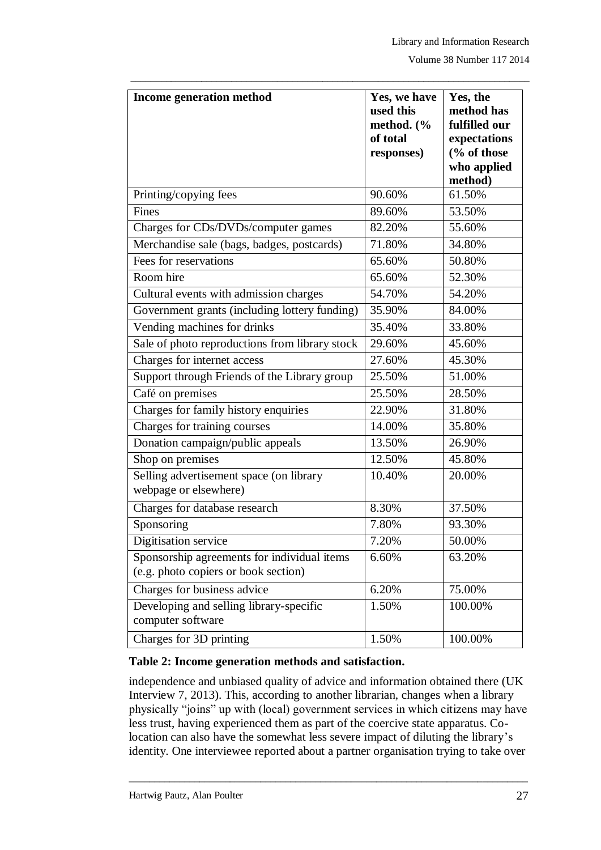| Income generation method                                                            | Yes, we have | Yes, the               |
|-------------------------------------------------------------------------------------|--------------|------------------------|
|                                                                                     | used this    | method has             |
|                                                                                     | method. (%   | fulfilled our          |
|                                                                                     | of total     | expectations           |
|                                                                                     | responses)   | $\frac{6}{6}$ of those |
|                                                                                     |              | who applied            |
|                                                                                     |              | method)                |
| Printing/copying fees                                                               | 90.60%       | 61.50%                 |
| Fines                                                                               | 89.60%       | 53.50%                 |
| Charges for CDs/DVDs/computer games                                                 | 82.20%       | 55.60%                 |
| Merchandise sale (bags, badges, postcards)                                          | 71.80%       | 34.80%                 |
| Fees for reservations                                                               | 65.60%       | 50.80%                 |
| Room hire                                                                           | 65.60%       | 52.30%                 |
| Cultural events with admission charges                                              | 54.70%       | 54.20%                 |
| Government grants (including lottery funding)                                       | 35.90%       | 84.00%                 |
| Vending machines for drinks                                                         | 35.40%       | 33.80%                 |
| Sale of photo reproductions from library stock                                      | 29.60%       | 45.60%                 |
| Charges for internet access                                                         | 27.60%       | 45.30%                 |
| Support through Friends of the Library group                                        | 25.50%       | 51.00%                 |
| Café on premises                                                                    | 25.50%       | 28.50%                 |
| Charges for family history enquiries                                                | 22.90%       | 31.80%                 |
| Charges for training courses                                                        | 14.00%       | 35.80%                 |
| Donation campaign/public appeals                                                    | 13.50%       | 26.90%                 |
| Shop on premises                                                                    | 12.50%       | 45.80%                 |
| Selling advertisement space (on library                                             | 10.40%       | 20.00%                 |
| webpage or elsewhere)                                                               |              |                        |
| Charges for database research                                                       | 8.30%        | 37.50%                 |
| Sponsoring                                                                          | 7.80%        | 93.30%                 |
| Digitisation service                                                                | 7.20%        | 50.00%                 |
| Sponsorship agreements for individual items<br>(e.g. photo copiers or book section) | 6.60%        | 63.20%                 |
| Charges for business advice                                                         | 6.20%        | 75.00%                 |
| Developing and selling library-specific                                             | 1.50%        | 100.00%                |
| computer software                                                                   |              |                        |
| Charges for 3D printing                                                             | 1.50%        | 100.00%                |

#### **Table 2: Income generation methods and satisfaction.**

independence and unbiased quality of advice and information obtained there (UK Interview 7, 2013). This, according to another librarian, changes when a library physically "joins" up with (local) government services in which citizens may have less trust, having experienced them as part of the coercive state apparatus. Colocation can also have the somewhat less severe impact of diluting the library's identity. One interviewee reported about a partner organisation trying to take over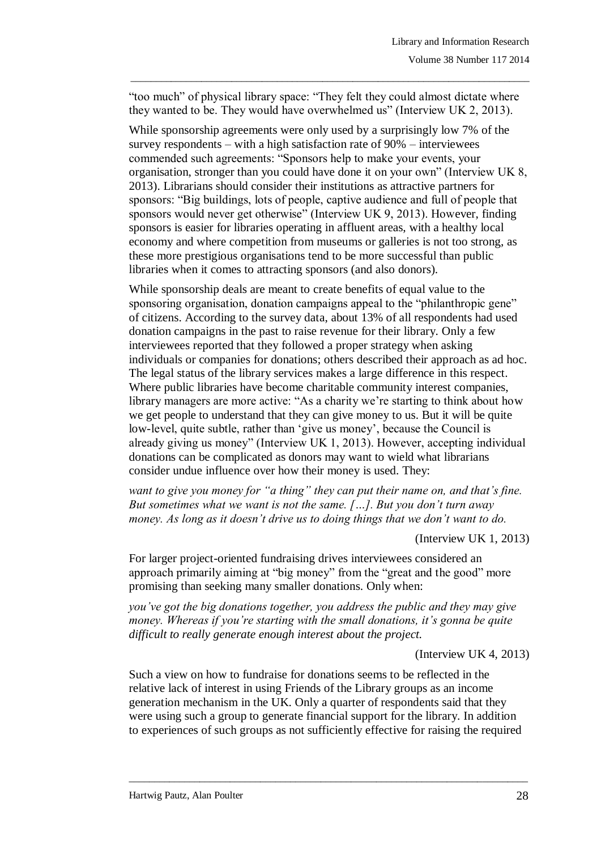"too much" of physical library space: "They felt they could almost dictate where they wanted to be. They would have overwhelmed us" (Interview UK 2, 2013).

\_\_\_\_\_\_\_\_\_\_\_\_\_\_\_\_\_\_\_\_\_\_\_\_\_\_\_\_\_\_\_\_\_\_\_\_\_\_\_\_\_\_\_\_\_\_\_\_\_\_\_\_\_\_\_\_\_\_\_\_\_\_\_\_\_\_\_\_\_\_\_\_\_\_\_\_\_\_\_

While sponsorship agreements were only used by a surprisingly low 7% of the survey respondents – with a high satisfaction rate of 90% – interviewees commended such agreements: "Sponsors help to make your events, your organisation, stronger than you could have done it on your own" (Interview UK 8, 2013). Librarians should consider their institutions as attractive partners for sponsors: "Big buildings, lots of people, captive audience and full of people that sponsors would never get otherwise" (Interview UK 9, 2013). However, finding sponsors is easier for libraries operating in affluent areas, with a healthy local economy and where competition from museums or galleries is not too strong, as these more prestigious organisations tend to be more successful than public libraries when it comes to attracting sponsors (and also donors).

While sponsorship deals are meant to create benefits of equal value to the sponsoring organisation, donation campaigns appeal to the "philanthropic gene" of citizens. According to the survey data, about 13% of all respondents had used donation campaigns in the past to raise revenue for their library. Only a few interviewees reported that they followed a proper strategy when asking individuals or companies for donations; others described their approach as ad hoc. The legal status of the library services makes a large difference in this respect. Where public libraries have become charitable community interest companies, library managers are more active: "As a charity we're starting to think about how we get people to understand that they can give money to us. But it will be quite low-level, quite subtle, rather than 'give us money', because the Council is already giving us money" (Interview UK 1, 2013). However, accepting individual donations can be complicated as donors may want to wield what librarians consider undue influence over how their money is used. They:

*want to give you money for "a thing" they can put their name on, and that's fine. But sometimes what we want is not the same. […]. But you don't turn away money. As long as it doesn't drive us to doing things that we don't want to do.*

(Interview UK 1, 2013)

For larger project-oriented fundraising drives interviewees considered an approach primarily aiming at "big money" from the "great and the good" more promising than seeking many smaller donations. Only when:

*you've got the big donations together, you address the public and they may give money. Whereas if you're starting with the small donations, it's gonna be quite difficult to really generate enough interest about the project.*

(Interview UK 4, 2013)

Such a view on how to fundraise for donations seems to be reflected in the relative lack of interest in using Friends of the Library groups as an income generation mechanism in the UK. Only a quarter of respondents said that they were using such a group to generate financial support for the library. In addition to experiences of such groups as not sufficiently effective for raising the required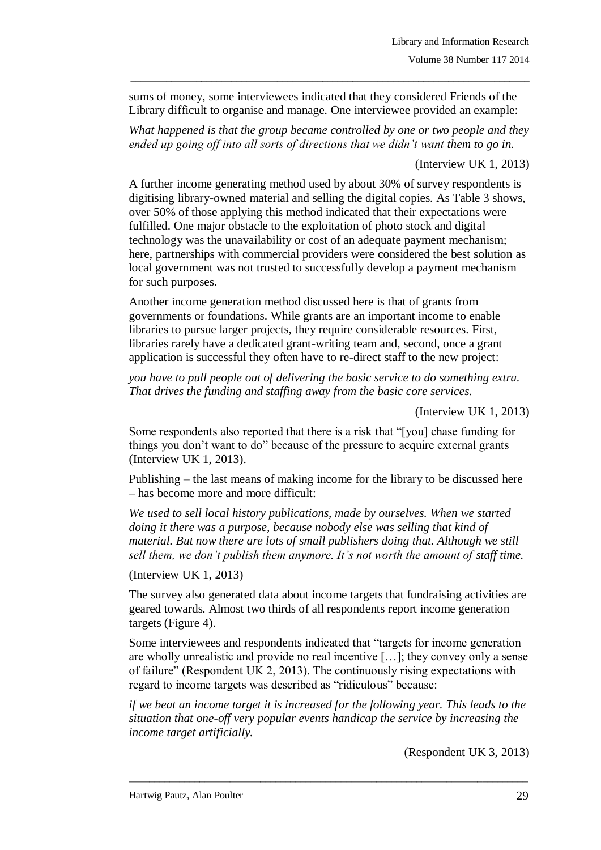sums of money, some interviewees indicated that they considered Friends of the Library difficult to organise and manage. One interviewee provided an example:

*What happened is that the group became controlled by one or two people and they ended up going off into all sorts of directions that we didn't want them to go in.* 

\_\_\_\_\_\_\_\_\_\_\_\_\_\_\_\_\_\_\_\_\_\_\_\_\_\_\_\_\_\_\_\_\_\_\_\_\_\_\_\_\_\_\_\_\_\_\_\_\_\_\_\_\_\_\_\_\_\_\_\_\_\_\_\_\_\_\_\_\_\_\_\_\_\_\_\_\_\_\_

(Interview UK 1, 2013)

A further income generating method used by about 30% of survey respondents is digitising library-owned material and selling the digital copies. As Table 3 shows, over 50% of those applying this method indicated that their expectations were fulfilled. One major obstacle to the exploitation of photo stock and digital technology was the unavailability or cost of an adequate payment mechanism; here, partnerships with commercial providers were considered the best solution as local government was not trusted to successfully develop a payment mechanism for such purposes.

Another income generation method discussed here is that of grants from governments or foundations. While grants are an important income to enable libraries to pursue larger projects, they require considerable resources. First, libraries rarely have a dedicated grant-writing team and, second, once a grant application is successful they often have to re-direct staff to the new project:

*you have to pull people out of delivering the basic service to do something extra. That drives the funding and staffing away from the basic core services.*

(Interview UK 1, 2013)

Some respondents also reported that there is a risk that "[you] chase funding for things you don"t want to do" because of the pressure to acquire external grants (Interview UK 1, 2013).

Publishing – the last means of making income for the library to be discussed here – has become more and more difficult:

*We used to sell local history publications, made by ourselves. When we started doing it there was a purpose, because nobody else was selling that kind of material. But now there are lots of small publishers doing that. Although we still sell them, we don't publish them anymore. It's not worth the amount of staff time.* 

(Interview UK 1, 2013)

The survey also generated data about income targets that fundraising activities are geared towards. Almost two thirds of all respondents report income generation targets (Figure 4).

Some interviewees and respondents indicated that "targets for income generation are wholly unrealistic and provide no real incentive […]; they convey only a sense of failure" (Respondent UK 2, 2013). The continuously rising expectations with regard to income targets was described as "ridiculous" because:

*if we beat an income target it is increased for the following year. This leads to the situation that one-off very popular events handicap the service by increasing the income target artificially.*

 $\_$  ,  $\_$  ,  $\_$  ,  $\_$  ,  $\_$  ,  $\_$  ,  $\_$  ,  $\_$  ,  $\_$  ,  $\_$  ,  $\_$  ,  $\_$  ,  $\_$  ,  $\_$  ,  $\_$  ,  $\_$  ,  $\_$  ,  $\_$  ,  $\_$  ,  $\_$  ,  $\_$  ,  $\_$  ,  $\_$  ,  $\_$  ,  $\_$  ,  $\_$  ,  $\_$  ,  $\_$  ,  $\_$  ,  $\_$  ,  $\_$  ,  $\_$  ,  $\_$  ,  $\_$  ,  $\_$  ,  $\_$  ,  $\_$  ,

(Respondent UK 3, 2013)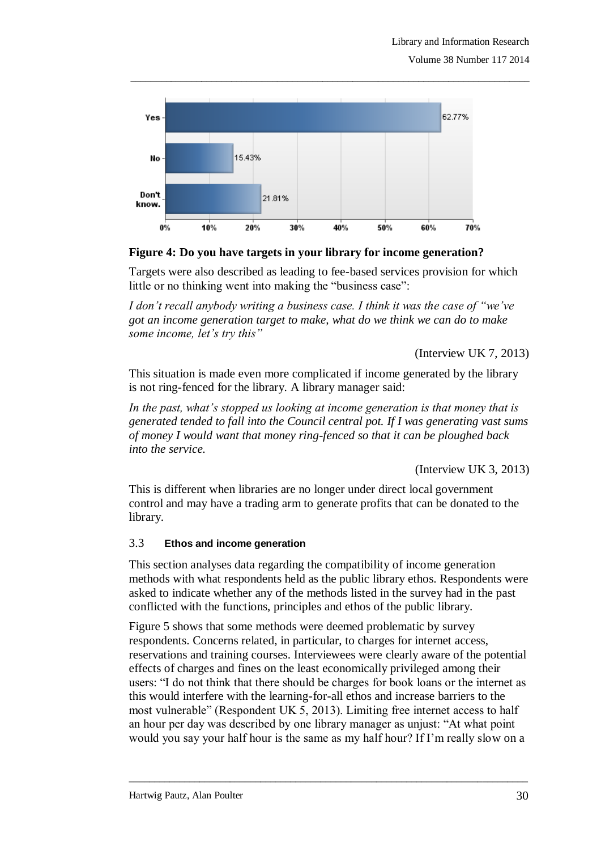

**Figure 4: Do you have targets in your library for income generation?**

Targets were also described as leading to fee-based services provision for which little or no thinking went into making the "business case":

*I don't recall anybody writing a business case. I think it was the case of "we've got an income generation target to make, what do we think we can do to make some income, let's try this"* 

(Interview UK 7, 2013)

This situation is made even more complicated if income generated by the library is not ring-fenced for the library. A library manager said:

*In the past, what's stopped us looking at income generation is that money that is generated tended to fall into the Council central pot. If I was generating vast sums of money I would want that money ring-fenced so that it can be ploughed back into the service.*

(Interview UK 3, 2013)

This is different when libraries are no longer under direct local government control and may have a trading arm to generate profits that can be donated to the library.

### 3.3 **Ethos and income generation**

This section analyses data regarding the compatibility of income generation methods with what respondents held as the public library ethos. Respondents were asked to indicate whether any of the methods listed in the survey had in the past conflicted with the functions, principles and ethos of the public library.

Figure 5 shows that some methods were deemed problematic by survey respondents. Concerns related, in particular, to charges for internet access, reservations and training courses. Interviewees were clearly aware of the potential effects of charges and fines on the least economically privileged among their users: "I do not think that there should be charges for book loans or the internet as this would interfere with the learning-for-all ethos and increase barriers to the most vulnerable" (Respondent UK 5, 2013). Limiting free internet access to half an hour per day was described by one library manager as unjust: "At what point would you say your half hour is the same as my half hour? If I"m really slow on a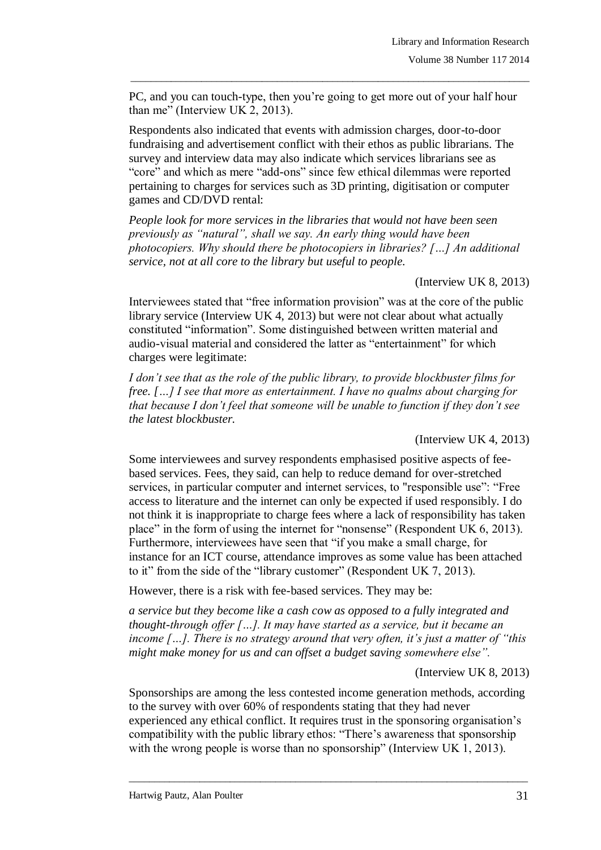PC, and you can touch-type, then you"re going to get more out of your half hour than me" (Interview UK 2, 2013).

\_\_\_\_\_\_\_\_\_\_\_\_\_\_\_\_\_\_\_\_\_\_\_\_\_\_\_\_\_\_\_\_\_\_\_\_\_\_\_\_\_\_\_\_\_\_\_\_\_\_\_\_\_\_\_\_\_\_\_\_\_\_\_\_\_\_\_\_\_\_\_\_\_\_\_\_\_\_\_

Respondents also indicated that events with admission charges, door-to-door fundraising and advertisement conflict with their ethos as public librarians. The survey and interview data may also indicate which services librarians see as "core" and which as mere "add-ons" since few ethical dilemmas were reported pertaining to charges for services such as 3D printing, digitisation or computer games and CD/DVD rental:

*People look for more services in the libraries that would not have been seen previously as "natural", shall we say. An early thing would have been photocopiers. Why should there be photocopiers in libraries? […] An additional service, not at all core to the library but useful to people.* 

(Interview UK 8, 2013)

Interviewees stated that "free information provision" was at the core of the public library service (Interview UK 4, 2013) but were not clear about what actually constituted "information". Some distinguished between written material and audio-visual material and considered the latter as "entertainment" for which charges were legitimate:

*I don't see that as the role of the public library, to provide blockbuster films for free. […] I see that more as entertainment. I have no qualms about charging for that because I don't feel that someone will be unable to function if they don't see the latest blockbuster.*

(Interview UK 4, 2013)

Some interviewees and survey respondents emphasised positive aspects of feebased services. Fees, they said, can help to reduce demand for over-stretched services, in particular computer and internet services, to "responsible use": "Free access to literature and the internet can only be expected if used responsibly. I do not think it is inappropriate to charge fees where a lack of responsibility has taken place" in the form of using the internet for "nonsense" (Respondent UK 6, 2013). Furthermore, interviewees have seen that "if you make a small charge, for instance for an ICT course, attendance improves as some value has been attached to it" from the side of the "library customer" (Respondent UK 7, 2013).

However, there is a risk with fee-based services. They may be:

*a service but they become like a cash cow as opposed to a fully integrated and thought-through offer […]. It may have started as a service, but it became an income […]. There is no strategy around that very often, it's just a matter of "this might make money for us and can offset a budget saving somewhere else".*

(Interview UK 8, 2013)

Sponsorships are among the less contested income generation methods, according to the survey with over 60% of respondents stating that they had never experienced any ethical conflict. It requires trust in the sponsoring organisation"s compatibility with the public library ethos: "There"s awareness that sponsorship with the wrong people is worse than no sponsorship" (Interview UK 1, 2013).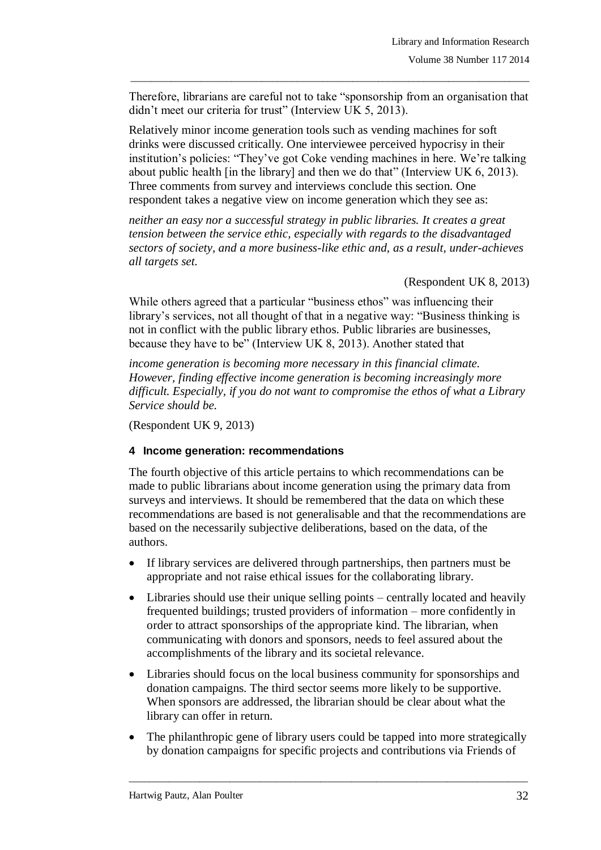Therefore, librarians are careful not to take "sponsorship from an organisation that didn"t meet our criteria for trust" (Interview UK 5, 2013).

\_\_\_\_\_\_\_\_\_\_\_\_\_\_\_\_\_\_\_\_\_\_\_\_\_\_\_\_\_\_\_\_\_\_\_\_\_\_\_\_\_\_\_\_\_\_\_\_\_\_\_\_\_\_\_\_\_\_\_\_\_\_\_\_\_\_\_\_\_\_\_\_\_\_\_\_\_\_\_

Relatively minor income generation tools such as vending machines for soft drinks were discussed critically. One interviewee perceived hypocrisy in their institution's policies: "They've got Coke vending machines in here. We're talking about public health [in the library] and then we do that" (Interview UK 6, 2013). Three comments from survey and interviews conclude this section. One respondent takes a negative view on income generation which they see as:

*neither an easy nor a successful strategy in public libraries. It creates a great tension between the service ethic, especially with regards to the disadvantaged sectors of society, and a more business-like ethic and, as a result, under-achieves all targets set.* 

(Respondent UK 8, 2013)

While others agreed that a particular "business ethos" was influencing their library's services, not all thought of that in a negative way: "Business thinking is not in conflict with the public library ethos. Public libraries are businesses, because they have to be" (Interview UK 8, 2013). Another stated that

*income generation is becoming more necessary in this financial climate. However, finding effective income generation is becoming increasingly more difficult. Especially, if you do not want to compromise the ethos of what a Library Service should be.* 

(Respondent UK 9, 2013)

### **4 Income generation: recommendations**

The fourth objective of this article pertains to which recommendations can be made to public librarians about income generation using the primary data from surveys and interviews. It should be remembered that the data on which these recommendations are based is not generalisable and that the recommendations are based on the necessarily subjective deliberations, based on the data, of the authors.

- If library services are delivered through partnerships, then partners must be appropriate and not raise ethical issues for the collaborating library.
- Libraries should use their unique selling points centrally located and heavily frequented buildings; trusted providers of information – more confidently in order to attract sponsorships of the appropriate kind. The librarian, when communicating with donors and sponsors, needs to feel assured about the accomplishments of the library and its societal relevance.
- Libraries should focus on the local business community for sponsorships and donation campaigns. The third sector seems more likely to be supportive. When sponsors are addressed, the librarian should be clear about what the library can offer in return.
- The philanthropic gene of library users could be tapped into more strategically by donation campaigns for specific projects and contributions via Friends of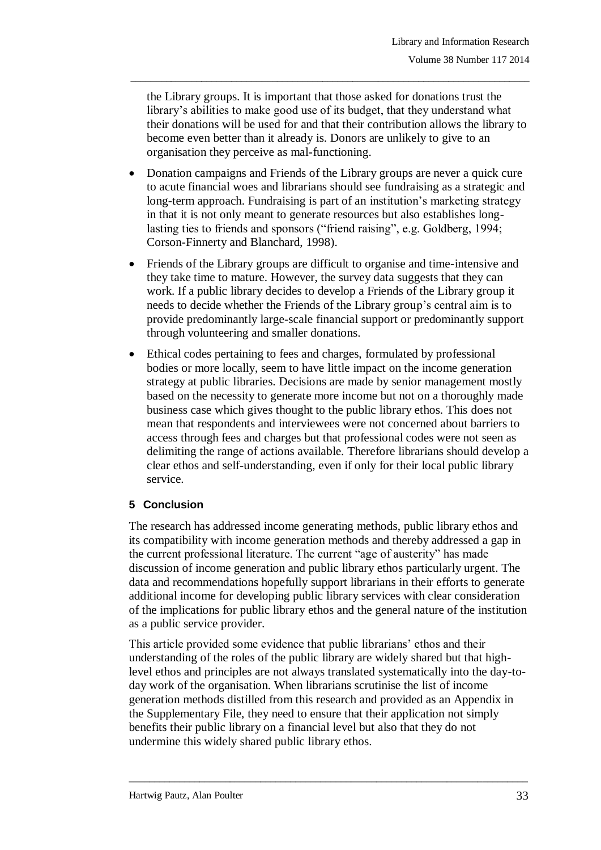the Library groups. It is important that those asked for donations trust the library's abilities to make good use of its budget, that they understand what their donations will be used for and that their contribution allows the library to become even better than it already is. Donors are unlikely to give to an organisation they perceive as mal-functioning.

\_\_\_\_\_\_\_\_\_\_\_\_\_\_\_\_\_\_\_\_\_\_\_\_\_\_\_\_\_\_\_\_\_\_\_\_\_\_\_\_\_\_\_\_\_\_\_\_\_\_\_\_\_\_\_\_\_\_\_\_\_\_\_\_\_\_\_\_\_\_\_\_\_\_\_\_\_\_\_

- Donation campaigns and Friends of the Library groups are never a quick cure to acute financial woes and librarians should see fundraising as a strategic and long-term approach. Fundraising is part of an institution's marketing strategy in that it is not only meant to generate resources but also establishes longlasting ties to friends and sponsors ("friend raising", e.g. Goldberg, 1994; Corson-Finnerty and Blanchard, 1998).
- Friends of the Library groups are difficult to organise and time-intensive and they take time to mature. However, the survey data suggests that they can work. If a public library decides to develop a Friends of the Library group it needs to decide whether the Friends of the Library group"s central aim is to provide predominantly large-scale financial support or predominantly support through volunteering and smaller donations.
- Ethical codes pertaining to fees and charges, formulated by professional bodies or more locally, seem to have little impact on the income generation strategy at public libraries. Decisions are made by senior management mostly based on the necessity to generate more income but not on a thoroughly made business case which gives thought to the public library ethos. This does not mean that respondents and interviewees were not concerned about barriers to access through fees and charges but that professional codes were not seen as delimiting the range of actions available. Therefore librarians should develop a clear ethos and self-understanding, even if only for their local public library service.

# **5 Conclusion**

The research has addressed income generating methods, public library ethos and its compatibility with income generation methods and thereby addressed a gap in the current professional literature. The current "age of austerity" has made discussion of income generation and public library ethos particularly urgent. The data and recommendations hopefully support librarians in their efforts to generate additional income for developing public library services with clear consideration of the implications for public library ethos and the general nature of the institution as a public service provider.

This article provided some evidence that public librarians' ethos and their understanding of the roles of the public library are widely shared but that highlevel ethos and principles are not always translated systematically into the day-today work of the organisation. When librarians scrutinise the list of income generation methods distilled from this research and provided as an Appendix in the Supplementary File, they need to ensure that their application not simply benefits their public library on a financial level but also that they do not undermine this widely shared public library ethos.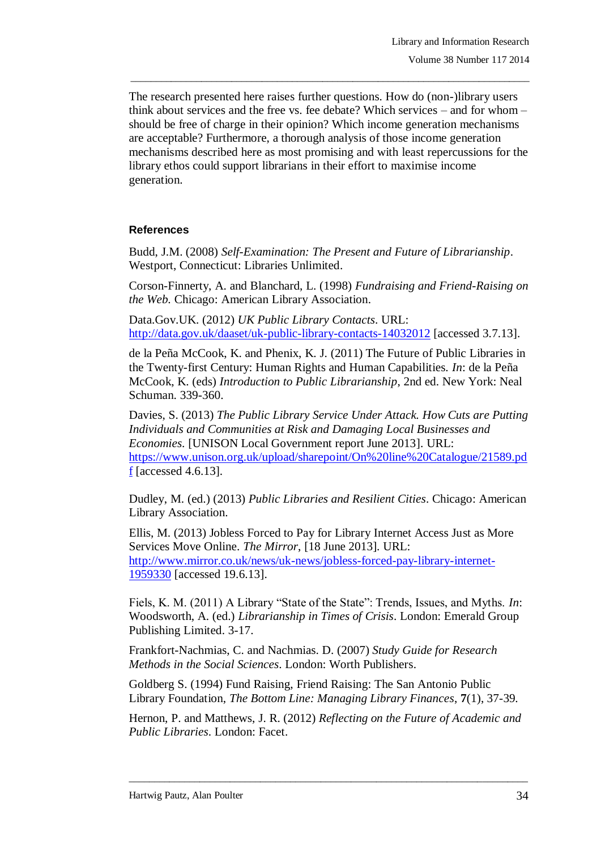The research presented here raises further questions. How do (non-)library users think about services and the free vs. fee debate? Which services – and for whom – should be free of charge in their opinion? Which income generation mechanisms are acceptable? Furthermore, a thorough analysis of those income generation mechanisms described here as most promising and with least repercussions for the library ethos could support librarians in their effort to maximise income generation.

\_\_\_\_\_\_\_\_\_\_\_\_\_\_\_\_\_\_\_\_\_\_\_\_\_\_\_\_\_\_\_\_\_\_\_\_\_\_\_\_\_\_\_\_\_\_\_\_\_\_\_\_\_\_\_\_\_\_\_\_\_\_\_\_\_\_\_\_\_\_\_\_\_\_\_\_\_\_\_

### **References**

Budd, J.M. (2008) *Self-Examination: The Present and Future of Librarianship*. Westport, Connecticut: Libraries Unlimited.

Corson-Finnerty, A. and Blanchard, L. (1998) *Fundraising and Friend-Raising on the Web.* Chicago: American Library Association.

Data.Gov.UK. (2012) *UK Public Library Contacts*. URL: <http://data.gov.uk/daaset/uk-public-library-contacts-14032012> [accessed 3.7.13].

de la Peña McCook, K. and Phenix, K. J. (2011) The Future of Public Libraries in the Twenty-first Century: Human Rights and Human Capabilities. *In*: de la Peña McCook, K. (eds) *Introduction to Public Librarianship*, 2nd ed. New York: Neal Schuman. 339-360.

Davies, S. (2013) *The Public Library Service Under Attack. How Cuts are Putting Individuals and Communities at Risk and Damaging Local Businesses and Economies*. [UNISON Local Government report June 2013]. URL: [https://www.unison.org.uk/upload/sharepoint/On%20line%20Catalogue/21589.pd](https://www.unison.org.uk/upload/sharepoint/On%20line%20Catalogue/21589.pdf)  $\underline{f}$  $\underline{f}$  $\underline{f}$  [accessed 4.6.13].

Dudley, M. (ed.) (2013) *Public Libraries and Resilient Cities*. Chicago: American Library Association.

Ellis, M. (2013) Jobless Forced to Pay for Library Internet Access Just as More Services Move Online. *The Mirror*, [18 June 2013]. URL: [http://www.mirror.co.uk/news/uk-news/jobless-forced-pay-library-internet-](http://www.mirror.co.uk/news/uk-news/jobless-forced-pay-library-internet-1959330)[1959330](http://www.mirror.co.uk/news/uk-news/jobless-forced-pay-library-internet-1959330) [accessed 19.6.13].

Fiels, K. M. (2011) A Library "State of the State": Trends, Issues, and Myths. *In*: Woodsworth, A. (ed.) *Librarianship in Times of Crisis*. London: Emerald Group Publishing Limited. 3-17.

Frankfort-Nachmias, C. and Nachmias. D. (2007) *Study Guide for Research Methods in the Social Sciences*. London: Worth Publishers.

Goldberg S. (1994) Fund Raising, Friend Raising: The San Antonio Public Library Foundation, *The Bottom Line: Managing Library Finances*, **7**(1), 37-39.

Hernon, P. and Matthews, J. R. (2012) *Reflecting on the Future of Academic and Public Libraries*. London: Facet.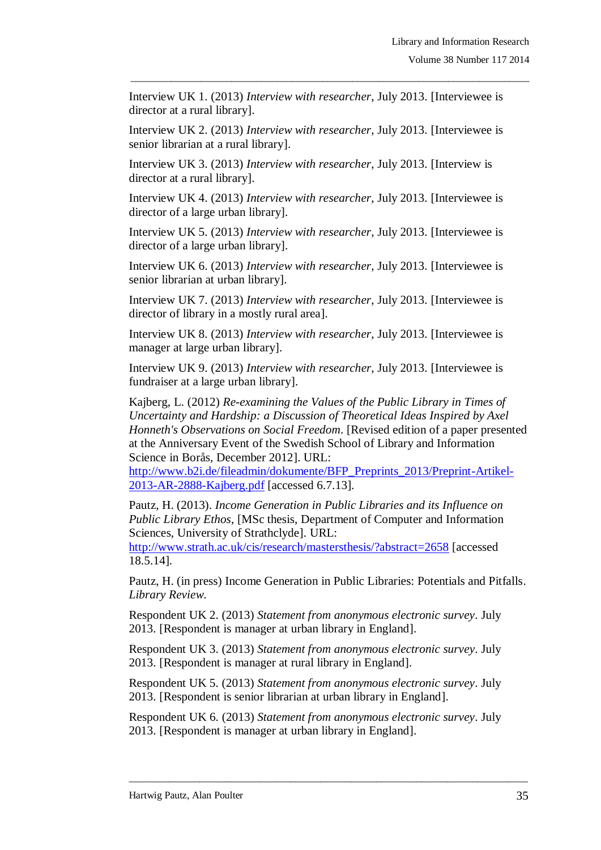Interview UK 1. (2013) *Interview with researcher*, July 2013. [Interviewee is director at a rural library].

\_\_\_\_\_\_\_\_\_\_\_\_\_\_\_\_\_\_\_\_\_\_\_\_\_\_\_\_\_\_\_\_\_\_\_\_\_\_\_\_\_\_\_\_\_\_\_\_\_\_\_\_\_\_\_\_\_\_\_\_\_\_\_\_\_\_\_\_\_\_\_\_\_\_\_\_\_\_\_

Interview UK 2. (2013) *Interview with researcher*, July 2013. [Interviewee is senior librarian at a rural library].

Interview UK 3. (2013) *Interview with researcher*, July 2013. [Interview is director at a rural library].

Interview UK 4. (2013) *Interview with researcher*, July 2013. [Interviewee is director of a large urban library].

Interview UK 5. (2013) *Interview with researcher*, July 2013. [Interviewee is director of a large urban library].

Interview UK 6. (2013) *Interview with researcher*, July 2013. [Interviewee is senior librarian at urban library].

Interview UK 7. (2013) *Interview with researcher*, July 2013. [Interviewee is director of library in a mostly rural area].

Interview UK 8. (2013) *Interview with researcher*, July 2013. [Interviewee is manager at large urban library].

Interview UK 9. (2013) *Interview with researcher*, July 2013. [Interviewee is fundraiser at a large urban library].

Kajberg, L. (2012) *Re-examining the Values of the Public Library in Times of Uncertainty and Hardship: a Discussion of Theoretical Ideas Inspired by Axel Honneth's Observations on Social Freedom*. [Revised edition of a paper presented at the Anniversary Event of the Swedish School of Library and Information Science in Borås, December 2012]. URL:

[http://www.b2i.de/fileadmin/dokumente/BFP\\_Preprints\\_2013/Preprint-Artikel-](http://www.b2i.de/fileadmin/dokumente/BFP_Preprints_2013/Preprint-Artikel-2013-AR-2888-Kajberg.pdf)[2013-AR-2888-Kajberg.pdf](http://www.b2i.de/fileadmin/dokumente/BFP_Preprints_2013/Preprint-Artikel-2013-AR-2888-Kajberg.pdf) [accessed 6.7.13].

Pautz, H. (2013). *Income Generation in Public Libraries and its Influence on Public Library Ethos*, [MSc thesis, Department of Computer and Information Sciences, University of Strathclyde]. URL:

<http://www.strath.ac.uk/cis/research/mastersthesis/?abstract=2658> [accessed 18.5.14].

Pautz, H. (in press) Income Generation in Public Libraries: Potentials and Pitfalls. *Library Review*.

Respondent UK 2. (2013) *Statement from anonymous electronic survey*. July 2013. [Respondent is manager at urban library in England].

Respondent UK 3. (2013) *Statement from anonymous electronic survey*. July 2013. [Respondent is manager at rural library in England].

Respondent UK 5. (2013) *Statement from anonymous electronic survey*. July 2013. [Respondent is senior librarian at urban library in England].

Respondent UK 6. (2013) *Statement from anonymous electronic survey*. July 2013. [Respondent is manager at urban library in England].